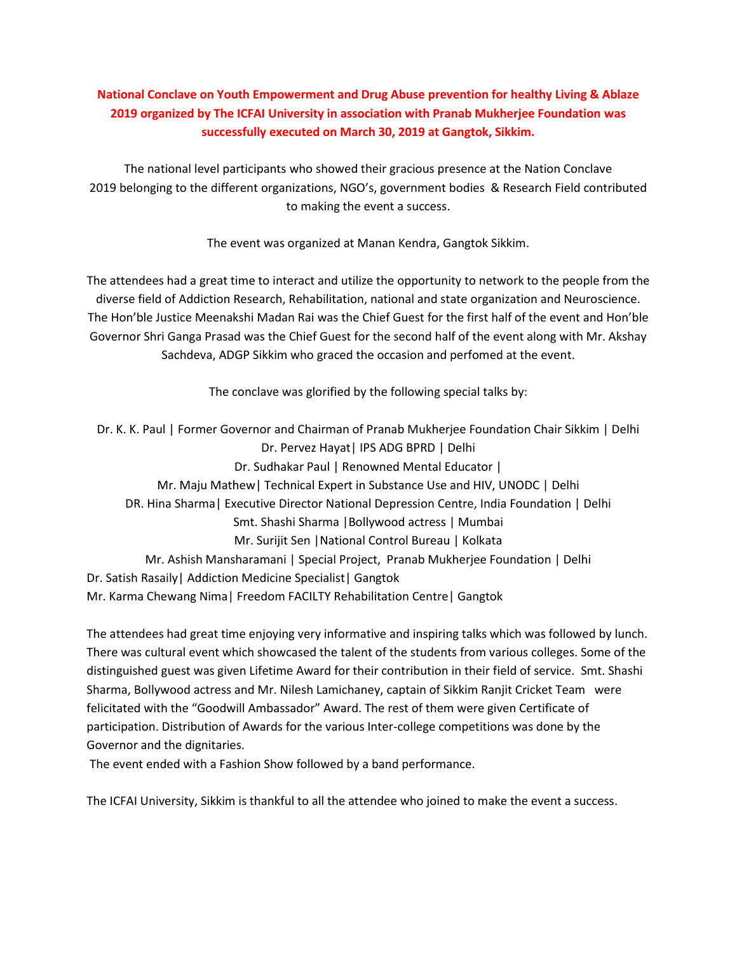## **National Conclave on Youth Empowerment and Drug Abuse prevention for healthy Living & Ablaze 2019 organized by The ICFAI University in association with Pranab Mukherjee Foundation was successfully executed on March 30, 2019 at Gangtok, Sikkim.**

The national level participants who showed their gracious presence at the Nation Conclave 2019 belonging to the different organizations, NGO's, government bodies & Research Field contributed to making the event a success.

The event was organized at Manan Kendra, Gangtok Sikkim.

The attendees had a great time to interact and utilize the opportunity to network to the people from the diverse field of Addiction Research, Rehabilitation, national and state organization and Neuroscience. The Hon'ble Justice Meenakshi Madan Rai was the Chief Guest for the first half of the event and Hon'ble Governor Shri Ganga Prasad was the Chief Guest for the second half of the event along with Mr. Akshay Sachdeva, ADGP Sikkim who graced the occasion and perfomed at the event.

The conclave was glorified by the following special talks by:

Dr. K. K. Paul | Former Governor and Chairman of Pranab Mukherjee Foundation Chair Sikkim | Delhi Dr. Pervez Hayat| IPS ADG BPRD | Delhi Dr. Sudhakar Paul | Renowned Mental Educator | Mr. Maju Mathew| Technical Expert in Substance Use and HIV, UNODC | Delhi DR. Hina Sharma| Executive Director National Depression Centre, India Foundation | Delhi Smt. Shashi Sharma |Bollywood actress | Mumbai Mr. Surijit Sen |National Control Bureau | Kolkata Mr. Ashish Mansharamani | Special Project, Pranab Mukherjee Foundation | Delhi Dr. Satish Rasaily| Addiction Medicine Specialist| Gangtok Mr. Karma Chewang Nima| Freedom FACILTY Rehabilitation Centre| Gangtok

The attendees had great time enjoying very informative and inspiring talks which was followed by lunch. There was cultural event which showcased the talent of the students from various colleges. Some of the distinguished guest was given Lifetime Award for their contribution in their field of service. Smt. Shashi Sharma, Bollywood actress and Mr. Nilesh Lamichaney, captain of Sikkim Ranjit Cricket Team were felicitated with the "Goodwill Ambassador" Award. The rest of them were given Certificate of participation. Distribution of Awards for the various Inter-college competitions was done by the Governor and the dignitaries.

The event ended with a Fashion Show followed by a band performance.

The ICFAI University, Sikkim is thankful to all the attendee who joined to make the event a success.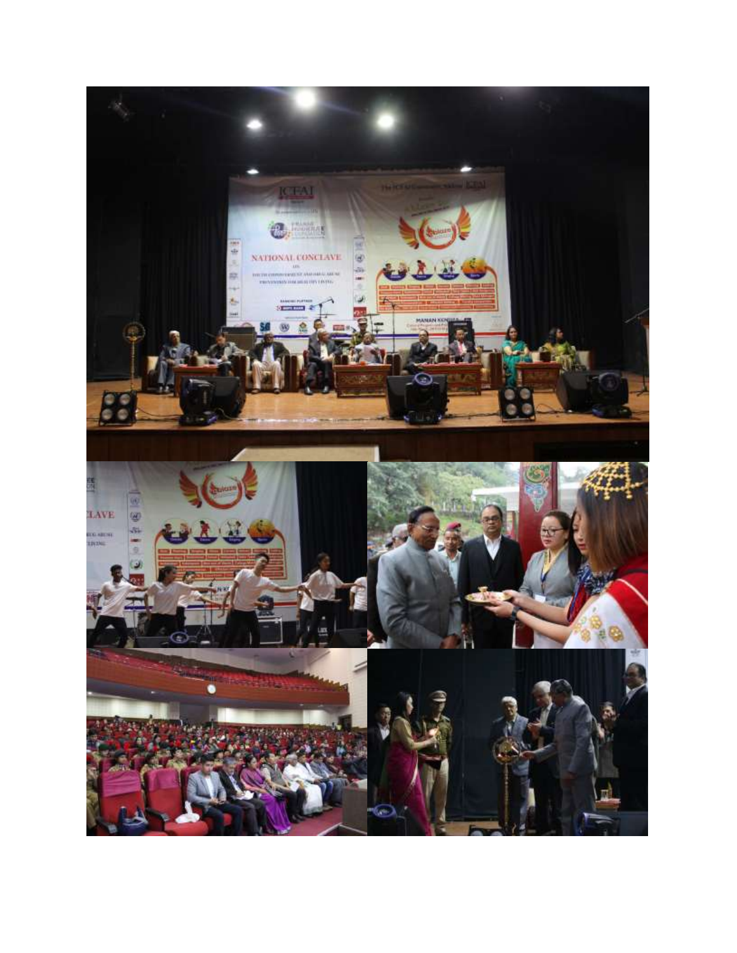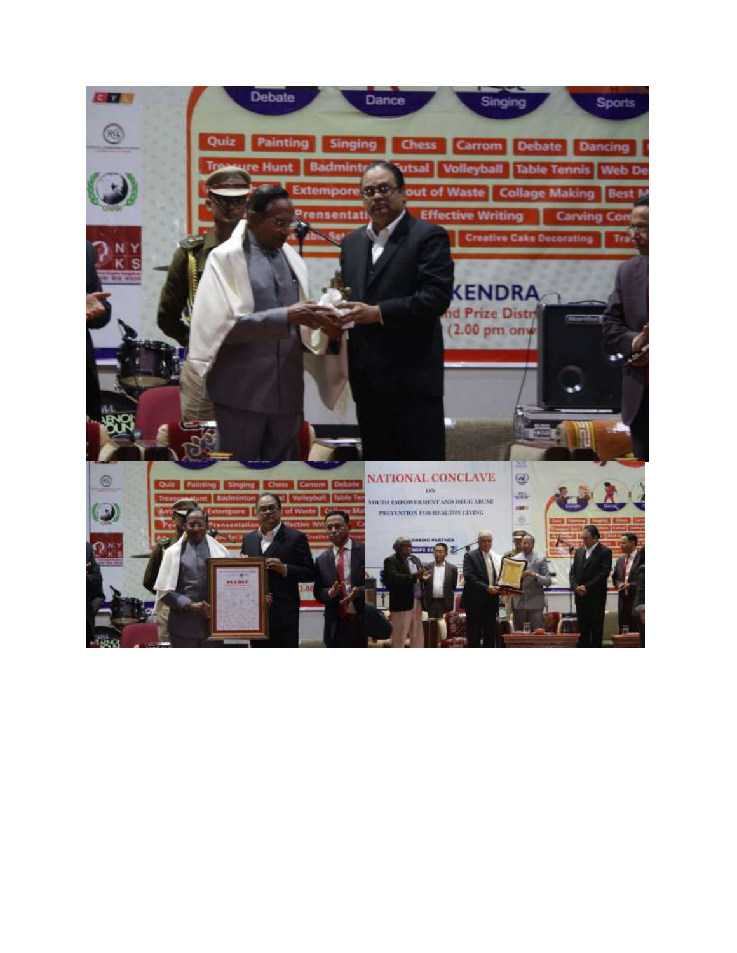